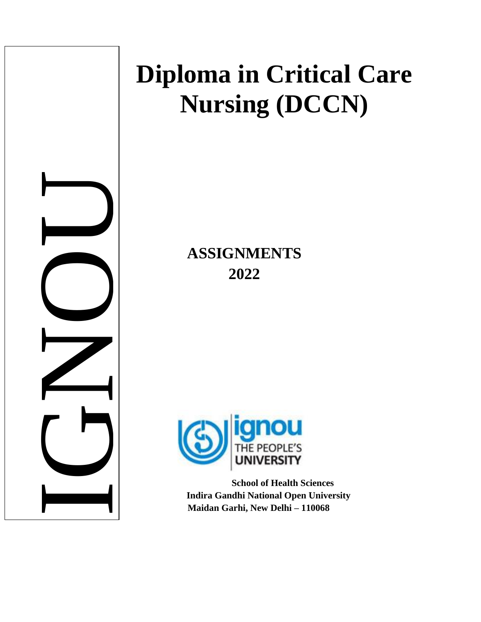

# **Diploma in Critical Care Nursing (DCCN)**

**ASSIGNMENTS 2022**



**School of Health Sciences Indira Gandhi National Open University Maidan Garhi, New Delhi – 110068**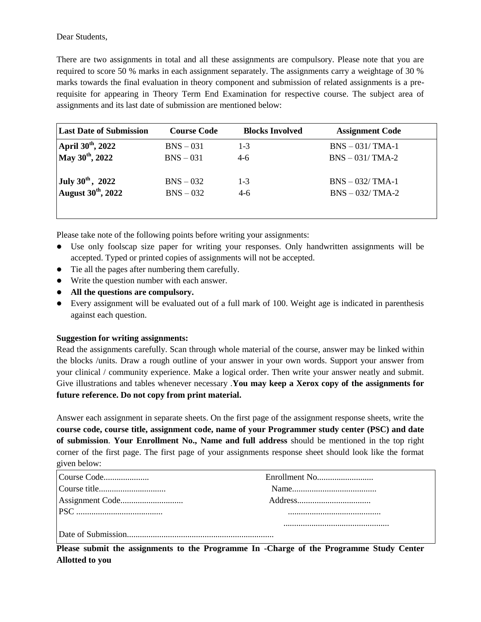Dear Students,

There are two assignments in total and all these assignments are compulsory. Please note that you are required to score 50 % marks in each assignment separately. The assignments carry a weightage of 30 % marks towards the final evaluation in theory component and submission of related assignments is a prerequisite for appearing in Theory Term End Examination for respective course. The subject area of assignments and its last date of submission are mentioned below:

| <b>Last Date of Submission</b> | <b>Course Code</b> | <b>Blocks Involved</b> | <b>Assignment Code</b> |
|--------------------------------|--------------------|------------------------|------------------------|
| April $30^{th}$ , 2022         | $BNS - 031$        | $1 - 3$                | $BNS - 031/TMA-1$      |
| May 30 <sup>th</sup> , 2022    | $BNS - 031$        | $4-6$                  | $BNS - 031/TMA-2$      |
| July $30^{th}$ , 2022          | $BNS - 032$        | $1 - 3$                | $BNS - 032/TMA-1$      |
| August $30^{\text{th}}$ , 2022 | $BNS - 032$        | $4-6$                  | $BNS - 032/TMA-2$      |
|                                |                    |                        |                        |

Please take note of the following points before writing your assignments:

- Use only foolscap size paper for writing your responses. Only handwritten assignments will be accepted. Typed or printed copies of assignments will not be accepted.
- Tie all the pages after numbering them carefully.
- Write the question number with each answer.
- **All the questions are compulsory.**
- Every assignment will be evaluated out of a full mark of 100. Weight age is indicated in parenthesis against each question.

#### **Suggestion for writing assignments:**

Read the assignments carefully. Scan through whole material of the course, answer may be linked within the blocks /units. Draw a rough outline of your answer in your own words. Support your answer from your clinical / community experience. Make a logical order. Then write your answer neatly and submit. Give illustrations and tables whenever necessary .**You may keep a Xerox copy of the assignments for future reference. Do not copy from print material.**

Answer each assignment in separate sheets. On the first page of the assignment response sheets, write the **course code, course title, assignment code, name of your Programmer study center (PSC) and date of submission**. **Your Enrollment No., Name and full address** should be mentioned in the top right corner of the first page. The first page of your assignments response sheet should look like the format given below:

| Course Code |  |
|-------------|--|
|             |  |
|             |  |
|             |  |
|             |  |
|             |  |

**Please submit the assignments to the Programme In -Charge of the Programme Study Center Allotted to you**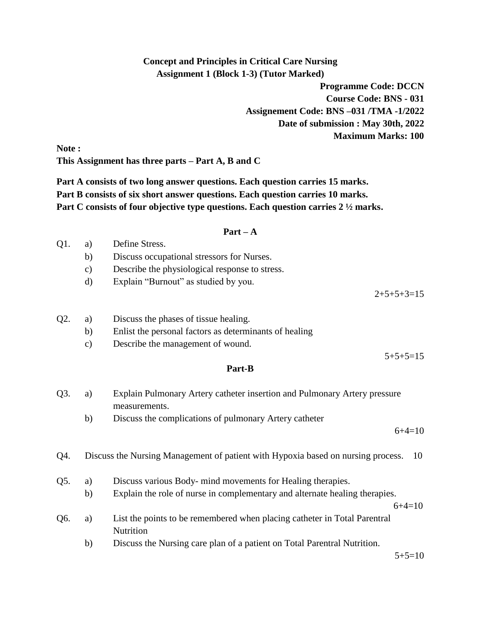# **Concept and Principles in Critical Care Nursing Assignment 1 (Block 1-3) (Tutor Marked)**

**Programme Code: DCCN Course Code: BNS - 031 Assignement Code: BNS –031 /TMA -1/2022 Date of submission : May 30th, 2022 Maximum Marks: 100**

**Note : This Assignment has three parts – Part A, B and C**

**Part A consists of two long answer questions. Each question carries 15 marks. Part B consists of six short answer questions. Each question carries 10 marks. Part C consists of four objective type questions. Each question carries 2 ½ marks.**

## **Part – A**

| Q1. | a) | Define Stress.                             |
|-----|----|--------------------------------------------|
|     |    | Discuss occupational stressors for Nurses. |

- c) Describe the physiological response to stress.
- d) Explain "Burnout" as studied by you.

 $2+5+5+3=15$ 

 $5+5+5=15$ 

- Q2. a) Discuss the phases of tissue healing.
	- b) Enlist the personal factors as determinants of healing
	- c) Describe the management of wound.

## **Part-B**

- Q3. a) Explain Pulmonary Artery catheter insertion and Pulmonary Artery pressure measurements.
	- b) Discuss the complications of pulmonary Artery catheter

 $6+4=10$ 

- Q4. Discuss the Nursing Management of patient with Hypoxia based on nursing process. 10
- Q5. a) Discuss various Body- mind movements for Healing therapies.
	- b) Explain the role of nurse in complementary and alternate healing therapies.

 $6+4=10$ 

- Q6. a) List the points to be remembered when placing catheter in Total Parentral Nutrition
	- b) Discuss the Nursing care plan of a patient on Total Parentral Nutrition.

 $5+5=10$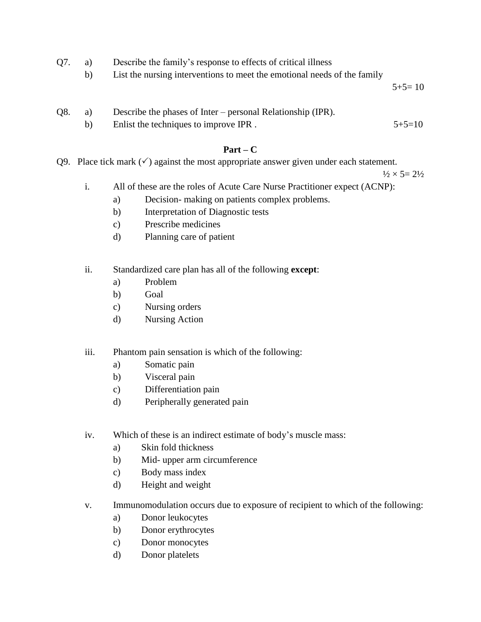- Q7. a) Describe the family"s response to effects of critical illness
	- b) List the nursing interventions to meet the emotional needs of the family

 $5+5=10$ 

- Q8. a) Describe the phases of Inter personal Relationship (IPR).
	- b) Enlist the techniques to improve IPR .  $5+5=10$

# **Part – C**

Q9. Place tick mark  $(\checkmark)$  against the most appropriate answer given under each statement.

 $\frac{1}{2} \times 5 = 2\frac{1}{2}$ 

- i. All of these are the roles of Acute Care Nurse Practitioner expect (ACNP):
	- a) Decision- making on patients complex problems.
	- b) Interpretation of Diagnostic tests
	- c) Prescribe medicines
	- d) Planning care of patient
- ii. Standardized care plan has all of the following **except**:
	- a) Problem
	- b) Goal
	- c) Nursing orders
	- d) Nursing Action
- iii. Phantom pain sensation is which of the following:
	- a) Somatic pain
	- b) Visceral pain
	- c) Differentiation pain
	- d) Peripherally generated pain
- iv. Which of these is an indirect estimate of body"s muscle mass:
	- a) Skin fold thickness
	- b) Mid- upper arm circumference
	- c) Body mass index
	- d) Height and weight
- v. Immunomodulation occurs due to exposure of recipient to which of the following:
	- a) Donor leukocytes
	- b) Donor erythrocytes
	- c) Donor monocytes
	- d) Donor platelets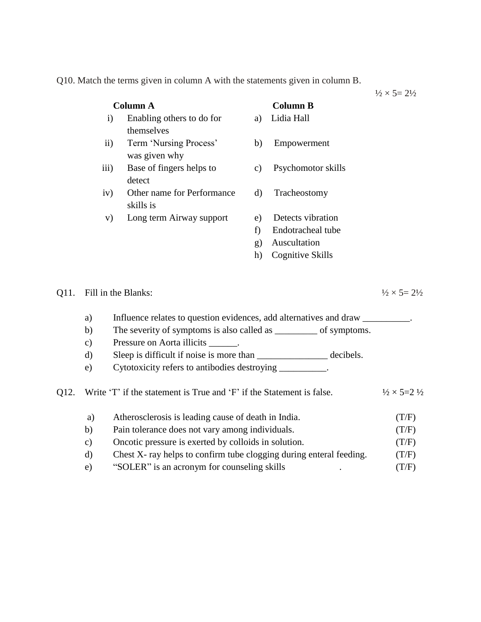Q10. Match the terms given in column A with the statements given in column B.

 $\frac{1}{2} \times 5 = 2\frac{1}{2}$ 

| <b>Column A</b> |                                                                                                                                                                                                                                                                                                                                                                                                          |                                                                       | <b>Column B</b>                                 |                    |                                        |
|-----------------|----------------------------------------------------------------------------------------------------------------------------------------------------------------------------------------------------------------------------------------------------------------------------------------------------------------------------------------------------------------------------------------------------------|-----------------------------------------------------------------------|-------------------------------------------------|--------------------|----------------------------------------|
|                 |                                                                                                                                                                                                                                                                                                                                                                                                          | Enabling others to do for<br>$\mathbf{i}$                             | a)                                              | Lidia Hall         |                                        |
|                 |                                                                                                                                                                                                                                                                                                                                                                                                          | themselves                                                            |                                                 |                    |                                        |
|                 | $\mathbf{ii}$                                                                                                                                                                                                                                                                                                                                                                                            | Term 'Nursing Process'                                                | b)                                              | Empowerment        |                                        |
|                 |                                                                                                                                                                                                                                                                                                                                                                                                          | was given why                                                         |                                                 |                    |                                        |
|                 | iii)                                                                                                                                                                                                                                                                                                                                                                                                     | Base of fingers helps to<br>detect                                    | $\mathbf{c})$                                   | Psychomotor skills |                                        |
|                 | iv)                                                                                                                                                                                                                                                                                                                                                                                                      | Other name for Performance<br>skills is                               | $\rm d)$                                        | Tracheostomy       |                                        |
|                 | V)                                                                                                                                                                                                                                                                                                                                                                                                       | Long term Airway support                                              | e)                                              | Detects vibration  |                                        |
|                 |                                                                                                                                                                                                                                                                                                                                                                                                          |                                                                       | f)                                              | Endotracheal tube  |                                        |
|                 |                                                                                                                                                                                                                                                                                                                                                                                                          |                                                                       | g)                                              | Auscultation       |                                        |
|                 |                                                                                                                                                                                                                                                                                                                                                                                                          |                                                                       | h)                                              | Cognitive Skills   |                                        |
| Q11.            | Fill in the Blanks:<br>Influence relates to question evidences, add alternatives and draw __________.<br>a)<br>The severity of symptoms is also called as _______ of symptoms.<br>b)<br>Pressure on Aorta illicits ______.<br>$\mathbf{c})$<br>Sleep is difficult if noise is more than ________________________ decibels.<br>$\rm d)$<br>Cytotoxicity refers to antibodies destroying __________.<br>e) |                                                                       |                                                 |                    | $\frac{1}{2} \times 5 = 2\frac{1}{2}$  |
| Q12.            |                                                                                                                                                                                                                                                                                                                                                                                                          | Write 'T' if the statement is True and 'F' if the Statement is false. |                                                 |                    | $\frac{1}{2} \times 5 = 2 \frac{1}{2}$ |
|                 | a)                                                                                                                                                                                                                                                                                                                                                                                                       | Atherosclerosis is leading cause of death in India.                   |                                                 |                    | (T/F)                                  |
|                 | b)                                                                                                                                                                                                                                                                                                                                                                                                       |                                                                       | Pain tolerance does not vary among individuals. |                    | (T/F)                                  |
|                 | $\mathbf{c})$                                                                                                                                                                                                                                                                                                                                                                                            | Oncotic pressure is exerted by colloids in solution.                  |                                                 |                    | (T/F)                                  |
|                 | $\rm d)$                                                                                                                                                                                                                                                                                                                                                                                                 | Chest X- ray helps to confirm tube clogging during enteral feeding.   |                                                 |                    | (T/F)                                  |
|                 | e)                                                                                                                                                                                                                                                                                                                                                                                                       | "SOLER" is an acronym for counseling skills                           |                                                 |                    | (T/F)                                  |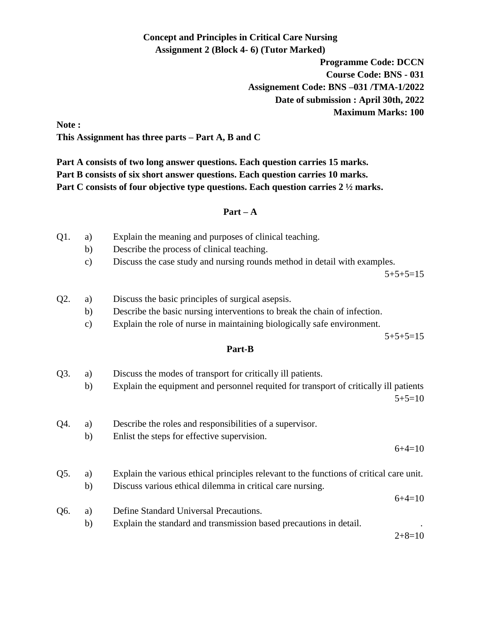# **Concept and Principles in Critical Care Nursing Assignment 2 (Block 4- 6) (Tutor Marked)**

**Programme Code: DCCN Course Code: BNS - 031 Assignement Code: BNS –031 /TMA-1/2022 Date of submission : April 30th, 2022 Maximum Marks: 100**

**Note : This Assignment has three parts – Part A, B and C**

**Part A consists of two long answer questions. Each question carries 15 marks. Part B consists of six short answer questions. Each question carries 10 marks. Part C consists of four objective type questions. Each question carries 2 ½ marks.**

# **Part – A**

- Q1. a) Explain the meaning and purposes of clinical teaching.
	- b) Describe the process of clinical teaching.
	- c) Discuss the case study and nursing rounds method in detail with examples.

 $5+5+5=15$ 

- Q2. a) Discuss the basic principles of surgical asepsis.
	- b) Describe the basic nursing interventions to break the chain of infection.
	- c) Explain the role of nurse in maintaining biologically safe environment.

 $5+5+5=15$ 

# **Part-B**

| Q3. | a)<br>b) | Discuss the modes of transport for critically ill patients.<br>Explain the equipment and personnel requited for transport of critically ill patients |          |
|-----|----------|------------------------------------------------------------------------------------------------------------------------------------------------------|----------|
|     |          |                                                                                                                                                      | $5+5=10$ |
| Q4. | a)       | Describe the roles and responsibilities of a supervisor.                                                                                             |          |
|     | b)       | Enlist the steps for effective supervision.                                                                                                          |          |
|     |          |                                                                                                                                                      | $6+4=10$ |
| Q5. | a)       | Explain the various ethical principles relevant to the functions of critical care unit.                                                              |          |
|     | b)       | Discuss various ethical dilemma in critical care nursing.                                                                                            |          |
|     |          |                                                                                                                                                      | $6+4=10$ |
| Q6. | a)       | Define Standard Universal Precautions.                                                                                                               |          |
|     | b)       | Explain the standard and transmission based precautions in detail.                                                                                   |          |
|     |          |                                                                                                                                                      | $2+8=10$ |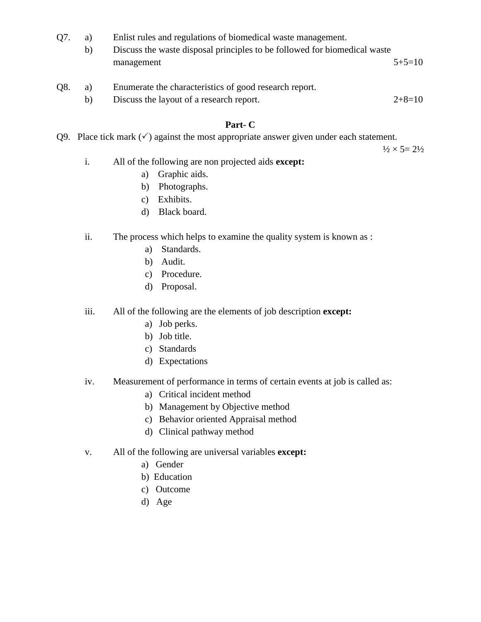- Q7. a) Enlist rules and regulations of biomedical waste management.
	- b) Discuss the waste disposal principles to be followed for biomedical waste management 5+5=10
- Q8. a) Enumerate the characteristics of good research report.
	- b) Discuss the layout of a research report. 2+8=10

# **Part- C**

Q9. Place tick mark  $(\checkmark)$  against the most appropriate answer given under each statement.

 $\frac{1}{2} \times 5 = 2\frac{1}{2}$ 

- i. All of the following are non projected aids **except:**
	- a) Graphic aids.
	- b) Photographs.
	- c) Exhibits.
	- d) Black board.
- ii. The process which helps to examine the quality system is known as :
	- a) Standards.
	- b) Audit.
	- c) Procedure.
	- d) Proposal.

iii. All of the following are the elements of job description **except:**

- a) Job perks.
- b) Job title.
- c) Standards
- d) Expectations
- iv. Measurement of performance in terms of certain events at job is called as:
	- a) Critical incident method
	- b) Management by Objective method
	- c) Behavior oriented Appraisal method
	- d) Clinical pathway method
- v. All of the following are universal variables **except:**
	- a) Gender
	- b) Education
	- c) Outcome
	- d) Age